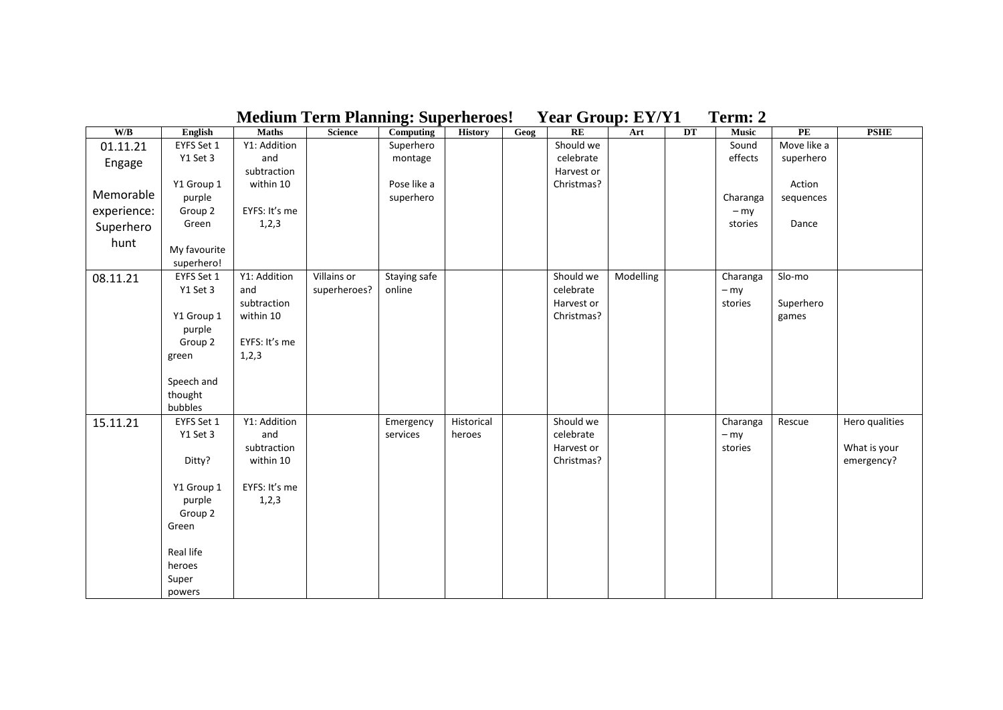| <b>Medium Term Planning: Superheroes!</b> |                        |                     |              |                        |                |      | <b>Year Group: EY/Y1</b> |           |    |                   | Term: 2     |                |  |  |
|-------------------------------------------|------------------------|---------------------|--------------|------------------------|----------------|------|--------------------------|-----------|----|-------------------|-------------|----------------|--|--|
| W/B                                       | English                | <b>Maths</b>        | Science      | <b>Computing</b>       | <b>History</b> | Geog | RE                       | Art       | DT | <b>Music</b>      | PE          | <b>PSHE</b>    |  |  |
| 01.11.21                                  | EYFS Set 1             | Y1: Addition        |              | Superhero              |                |      | Should we                |           |    | Sound             | Move like a |                |  |  |
| Engage                                    | Y1 Set 3               | and                 |              | montage                |                |      | celebrate                |           |    | effects           | superhero   |                |  |  |
|                                           |                        | subtraction         |              |                        |                |      | Harvest or               |           |    |                   |             |                |  |  |
|                                           | Y1 Group 1             | within 10           |              | Pose like a            |                |      | Christmas?               |           |    |                   | Action      |                |  |  |
| Memorable                                 | purple                 |                     |              | superhero              |                |      |                          |           |    | Charanga          | sequences   |                |  |  |
| experience:                               | Group 2                | EYFS: It's me       |              |                        |                |      |                          |           |    | $-$ my            |             |                |  |  |
| Superhero                                 | Green                  | 1,2,3               |              |                        |                |      |                          |           |    | stories           | Dance       |                |  |  |
| hunt                                      |                        |                     |              |                        |                |      |                          |           |    |                   |             |                |  |  |
|                                           | My favourite           |                     |              |                        |                |      |                          |           |    |                   |             |                |  |  |
|                                           | superhero!             |                     | Villains or  |                        |                |      | Should we                |           |    |                   |             |                |  |  |
| 08.11.21                                  | EYFS Set 1<br>Y1 Set 3 | Y1: Addition<br>and | superheroes? | Staying safe<br>online |                |      |                          | Modelling |    | Charanga          | Slo-mo      |                |  |  |
|                                           |                        | subtraction         |              |                        |                |      | celebrate<br>Harvest or  |           |    | $-$ my<br>stories | Superhero   |                |  |  |
|                                           | Y1 Group 1             | within 10           |              |                        |                |      | Christmas?               |           |    |                   | games       |                |  |  |
|                                           | purple                 |                     |              |                        |                |      |                          |           |    |                   |             |                |  |  |
|                                           | Group 2                | EYFS: It's me       |              |                        |                |      |                          |           |    |                   |             |                |  |  |
|                                           | green                  | 1, 2, 3             |              |                        |                |      |                          |           |    |                   |             |                |  |  |
|                                           |                        |                     |              |                        |                |      |                          |           |    |                   |             |                |  |  |
|                                           | Speech and             |                     |              |                        |                |      |                          |           |    |                   |             |                |  |  |
|                                           | thought                |                     |              |                        |                |      |                          |           |    |                   |             |                |  |  |
|                                           | bubbles                |                     |              |                        |                |      |                          |           |    |                   |             |                |  |  |
| 15.11.21                                  | EYFS Set 1             | Y1: Addition        |              | Emergency              | Historical     |      | Should we                |           |    | Charanga          | Rescue      | Hero qualities |  |  |
|                                           | Y1 Set 3               | and                 |              | services               | heroes         |      | celebrate                |           |    | $-$ my            |             |                |  |  |
|                                           |                        | subtraction         |              |                        |                |      | Harvest or               |           |    | stories           |             | What is your   |  |  |
|                                           | Ditty?                 | within 10           |              |                        |                |      | Christmas?               |           |    |                   |             | emergency?     |  |  |
|                                           |                        |                     |              |                        |                |      |                          |           |    |                   |             |                |  |  |
|                                           | Y1 Group 1             | EYFS: It's me       |              |                        |                |      |                          |           |    |                   |             |                |  |  |
|                                           | purple                 | 1,2,3               |              |                        |                |      |                          |           |    |                   |             |                |  |  |
|                                           | Group 2                |                     |              |                        |                |      |                          |           |    |                   |             |                |  |  |
|                                           | Green                  |                     |              |                        |                |      |                          |           |    |                   |             |                |  |  |
|                                           | Real life              |                     |              |                        |                |      |                          |           |    |                   |             |                |  |  |
|                                           | heroes                 |                     |              |                        |                |      |                          |           |    |                   |             |                |  |  |
|                                           |                        |                     |              |                        |                |      |                          |           |    |                   |             |                |  |  |
|                                           | Super                  |                     |              |                        |                |      |                          |           |    |                   |             |                |  |  |